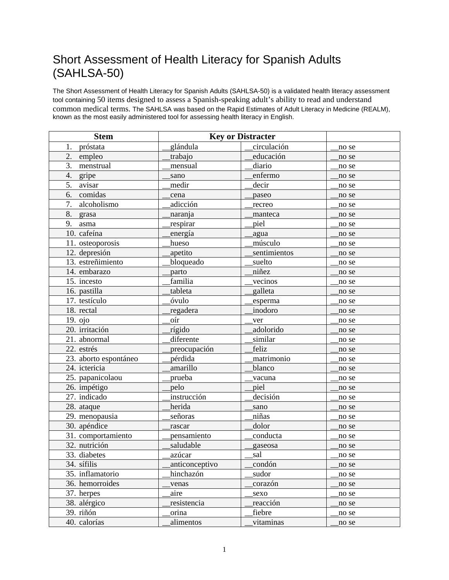## Short Assessment of Health Literacy for Spanish Adults (SAHLSA-50)

The Short Assessment of Health Literacy for Spanish Adults (SAHLSA-50) is a validated health literacy assessment tool containing 50 items designed to assess a Spanish-speaking adult's ability to read and understand common medical terms. The SAHLSA was based on the Rapid Estimates of Adult Literacy in Medicine (REALM), known as the most easily administered tool for assessing health literacy in English.

| <b>Stem</b>           | <b>Key or Distracter</b> |                       |       |
|-----------------------|--------------------------|-----------------------|-------|
| 1. próstata           | glándula                 | circulación           | no se |
| 2. empleo             | trabajo                  | educación             | no se |
| 3.<br>menstrual       | mensual                  | diario                | no se |
| 4.<br>gripe           | sano                     | enfermo               | no se |
| 5.<br>avisar          | medir                    | decir                 | no se |
| 6.<br>comidas         | cena                     | paseo                 | no se |
| 7. alcoholismo        | adicción                 | recreo                | no se |
| 8.<br>grasa           | naranja                  | manteca               | no se |
| 9. asma               | respirar                 | piel                  | no se |
| 10. cafeína           | energía                  | agua                  | no se |
| 11. osteoporosis      | hueso                    | músculo               | no se |
| 12. depresión         | apetito                  | sentimientos          | no se |
| 13. estreñimiento     | bloqueado                | suelto                | no se |
| 14. embarazo          | parto                    | niñez                 | no se |
| 15. incesto           | familia                  | vecinos               | no se |
| 16. pastilla          | tableta                  | galleta               | no se |
| 17. testículo         | óvulo                    | esperma               | no se |
| 18. rectal            | regadera                 | inodoro               | no se |
| 19. ojo               | oír                      | ver                   | no se |
| 20. irritación        | rígido                   | adolorido             | no se |
| 21. abnormal          | diferente                | similar               | no se |
| 22. estrés            | preocupación             | feliz                 | no se |
| 23. aborto espontáneo | pérdida                  | matrimonio            | no se |
| 24. ictericia         | amarillo                 | blanco                | no se |
| 25. papanicolaou      | prueba                   | vacuna                | no se |
| 26. impétigo          | pelo                     | piel                  | no se |
| 27. indicado          | instrucción              | $decisi\overline{6n}$ | no se |
| 28. ataque            | herida                   | sano                  | no se |
| 29. menopausia        | señoras                  | niñas                 | no se |
| 30. apéndice          | rascar                   | dolor                 | no se |
| 31. comportamiento    | pensamiento              | conducta              | no se |
| 32. nutrición         | saludable                | gaseosa               | no se |
| 33. diabetes          | azúcar                   | sal                   | no se |
| 34. sífilis           | anticonceptivo           | condón                | no se |
| 35. inflamatorio      | hinchazón                | sudor                 | no se |
| 36. hemorroides       | venas                    | corazón               | no se |
| 37. herpes            | aire                     | sexo                  | no se |
| 38. alérgico          | resistencia              | reacción              | no se |
| 39. riñón             | orina                    | fiebre                | no se |
| 40. calorías          | alimentos                | vitaminas             | no se |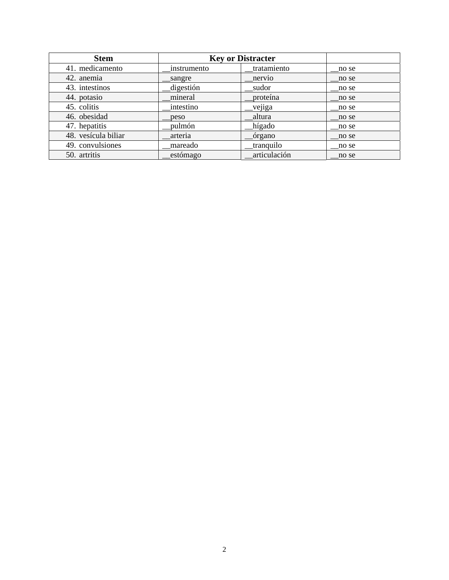| <b>Stem</b>         | <b>Key or Distracter</b> |              |       |
|---------------------|--------------------------|--------------|-------|
| 41. medicamento     | instrumento              | tratamiento  | no se |
| 42. anemia          | sangre                   | nervio       | no se |
| 43. intestinos      | digestión                | sudor        | no se |
| 44. potasio         | mineral                  | proteína     | no se |
| 45. colitis         | intestino                | vejiga       | no se |
| 46. obesidad        | peso                     | altura       | no se |
| 47. hepatitis       | pulmón                   | hígado       | no se |
| 48. vesícula biliar | arteria                  | órgano       | no se |
| 49. convulsiones    | mareado                  | tranquilo    | no se |
| 50. artritis        | estómago                 | articulación | no se |